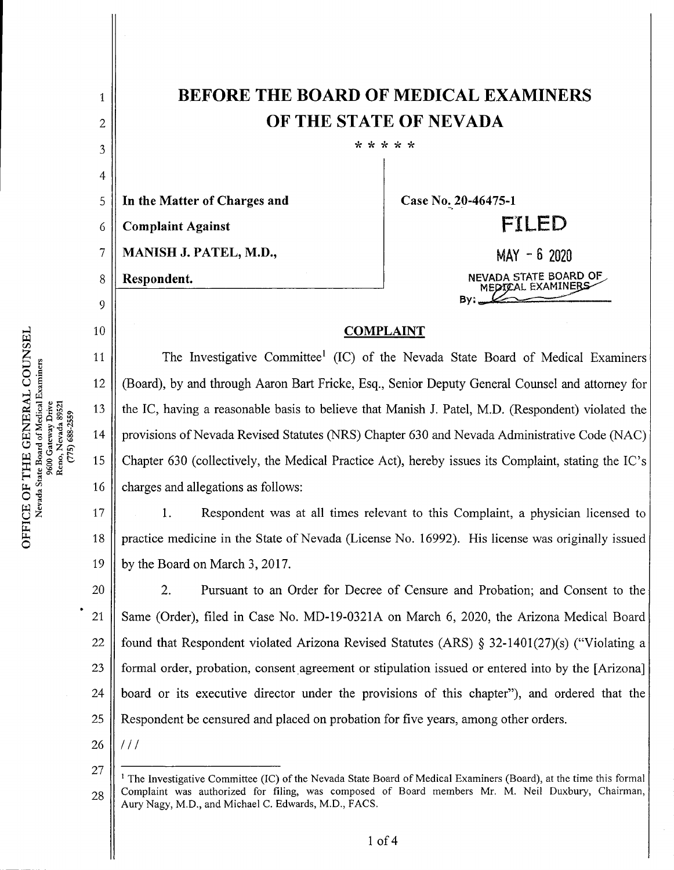## BEFORE THE BOARD OF MEDICAL EXAMINERS OFTHE STATE OF NEVADA

\* \* \* \* \*

In the Matter of Charges and 5

**Complaint Against** 6

MANISH J. PATEL, M.D., 7

Respondent.

1

2

3

4

8

9

10

11

12

13

14

15

16

Case No. 20-46475-1

MAY - <sup>6</sup> <sup>2020</sup> NEVADA STATE BOARD OF^, MEDICAL EXAMINERS By:.

FILED

## COMPLAINT

The Investigative Committee<sup>1</sup> (IC) of the Nevada State Board of Medical Examiners (Board), by and through Aaron Bart Fricke, Esq., Senior Deputy General Counsel and attorney for the IC, having a reasonable basis to believe that Manish J. Patel, M.D. (Respondent) violated the provisions of Nevada Revised Statutes (NRS) Chapter 630 and Nevada Administrative Code (NAC) Chapter 630 (collectively, the Medical Practice Act), hereby issues its Complaint, stating the IC's charges and allegations as follows:

1. Respondent was at all times relevant to this Complaint, a physician licensed to practice medicine in the State of Nevada (License No. 16992). His license was originally issued by the Board on March 3, 2017. 17 18 19

2. Pursuant to an Order for Decree of Censure and Probation; and Consent to the Same (Order), filed in Case No. MD-19-0321A on March 6, 2020, the Arizona Medical Board found that Respondent violated Arizona Revised Statutes (ARS)  $\S$  32-1401(27)(s) ("Violating a formal order, probation, consent agreement or stipulation issued or entered into by the [Arizona] board or its executive director under the provisions of this chapter"), and ordered that the Respondent be censured and placed on probation for five years, among other orders. 20 21 22 23 24 25

26  $111$ 

<sup>&</sup>lt;sup>1</sup> The Investigative Committee (IC) of the Nevada State Board of Medical Examiners (Board), at the time this formal Complaint was authorized for fding, was composed of Board members Mr. M. Neil Duxbury, Chairman, Aury Nagy, M.D., and Michael C. Edwards, M.D., FACS. 27 28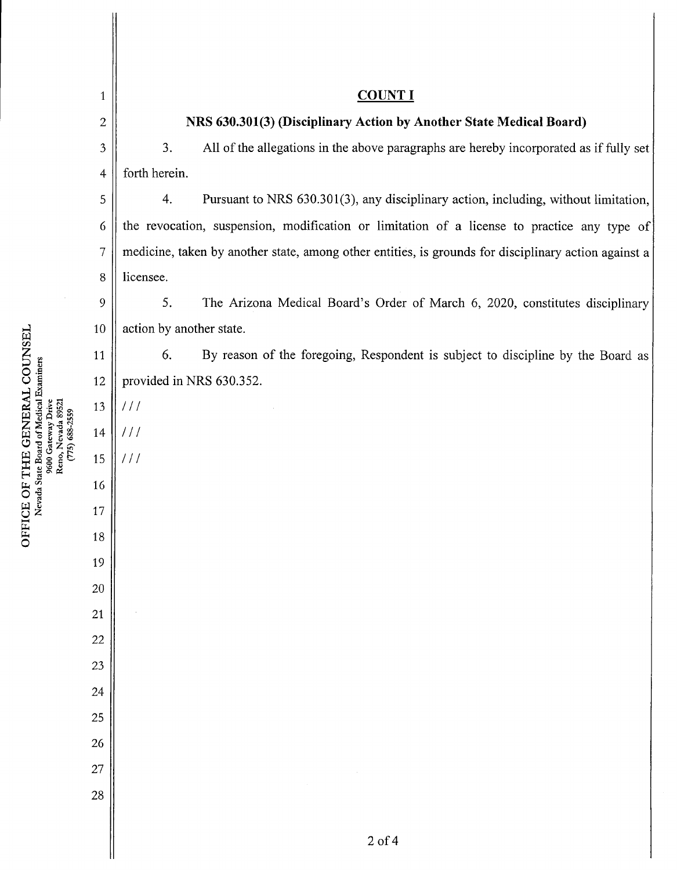| $\mathbf{1}$   | <b>COUNT I</b>                                                                                       |
|----------------|------------------------------------------------------------------------------------------------------|
| $\overline{2}$ | NRS 630.301(3) (Disciplinary Action by Another State Medical Board)                                  |
| $\mathfrak{Z}$ | 3.<br>All of the allegations in the above paragraphs are hereby incorporated as if fully set         |
| $\overline{4}$ | forth herein.                                                                                        |
| 5              | Pursuant to NRS 630.301(3), any disciplinary action, including, without limitation,<br>4.            |
| 6              | the revocation, suspension, modification or limitation of a license to practice any type of          |
| 7              | medicine, taken by another state, among other entities, is grounds for disciplinary action against a |
| $\,8\,$        | licensee.                                                                                            |
| 9              | 5.<br>The Arizona Medical Board's Order of March 6, 2020, constitutes disciplinary                   |
| 10             | action by another state.                                                                             |
| 11             | 6.<br>By reason of the foregoing, Respondent is subject to discipline by the Board as                |
| 12             | provided in NRS 630.352.                                                                             |
| 13             | 111                                                                                                  |
| 14             | 111                                                                                                  |
| 15             | 111                                                                                                  |
| 16             |                                                                                                      |
| 17             |                                                                                                      |
| 18             |                                                                                                      |
| 19             |                                                                                                      |
| 20             |                                                                                                      |
| $21\,$         |                                                                                                      |
| $22\,$         |                                                                                                      |
| 23             |                                                                                                      |
| 24             |                                                                                                      |
| 25             |                                                                                                      |
| $26\,$         |                                                                                                      |
| 27             |                                                                                                      |
| 28             |                                                                                                      |
|                |                                                                                                      |
|                | $2$ of $4$                                                                                           |

TCE O<br>Nevad THE

w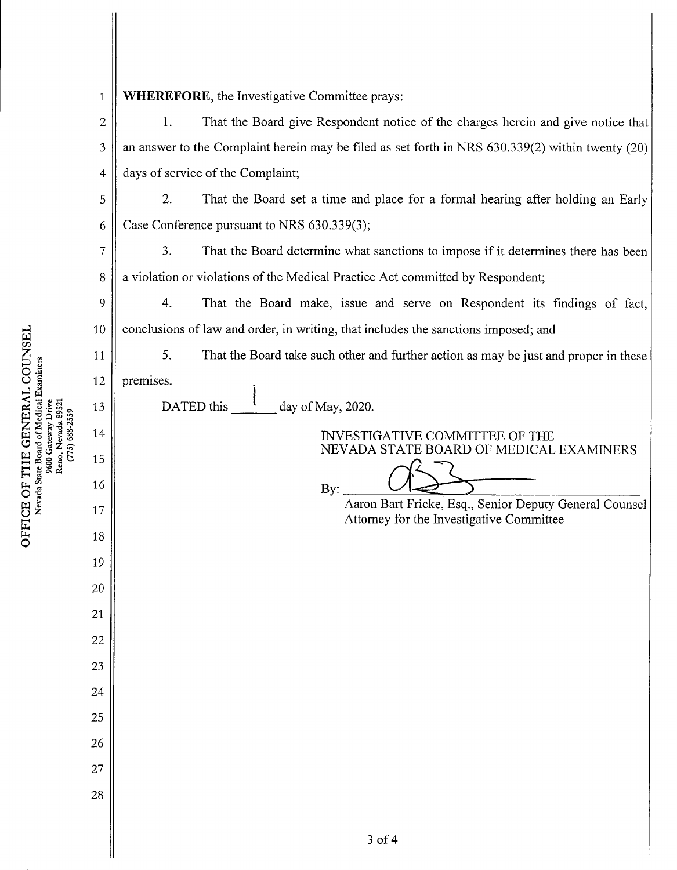|                                 | $\mathbf{1}$   | WHEREFORE, the Investigative Committee prays:                                                      |
|---------------------------------|----------------|----------------------------------------------------------------------------------------------------|
|                                 | $\overline{c}$ | That the Board give Respondent notice of the charges herein and give notice that<br>1.             |
|                                 | 3              | an answer to the Complaint herein may be filed as set forth in NRS 630.339(2) within twenty (20)   |
|                                 | 4              | days of service of the Complaint;                                                                  |
|                                 | 5              | 2.<br>That the Board set a time and place for a formal hearing after holding an Early              |
|                                 | 6              | Case Conference pursuant to NRS 630.339(3);                                                        |
|                                 | 7              | 3.<br>That the Board determine what sanctions to impose if it determines there has been            |
|                                 | 8              | a violation or violations of the Medical Practice Act committed by Respondent;                     |
|                                 | 9              | 4.<br>That the Board make, issue and serve on Respondent its findings of fact,                     |
|                                 | 10             | conclusions of law and order, in writing, that includes the sanctions imposed; and                 |
|                                 | 11             | 5.<br>That the Board take such other and further action as may be just and proper in these         |
|                                 | 12             | premises.                                                                                          |
|                                 | 13             | DATED this $\frac{1}{2}$<br>day of May, 2020.                                                      |
| $\epsilon$ cc $\tau$ -990 (c//) | 14             | INVESTIGATIVE COMMITTEE OF THE<br>NEVADA STATE BOARD OF MEDICAL EXAMINERS                          |
|                                 | 15             |                                                                                                    |
|                                 | 16             | By:                                                                                                |
|                                 | 17             | Aaron Bart Fricke, Esq., Senior Deputy General Counsel<br>Attorney for the Investigative Committee |
|                                 | 18             |                                                                                                    |
|                                 | 19             |                                                                                                    |
|                                 | 20             |                                                                                                    |
|                                 | 21             |                                                                                                    |
|                                 | 22             |                                                                                                    |
|                                 | 23             |                                                                                                    |
|                                 | 24             |                                                                                                    |
|                                 | 25             |                                                                                                    |
|                                 | 26<br>27       |                                                                                                    |
|                                 | 28             |                                                                                                    |
|                                 |                |                                                                                                    |
|                                 |                | 3 of 4                                                                                             |
|                                 |                |                                                                                                    |

H

Ph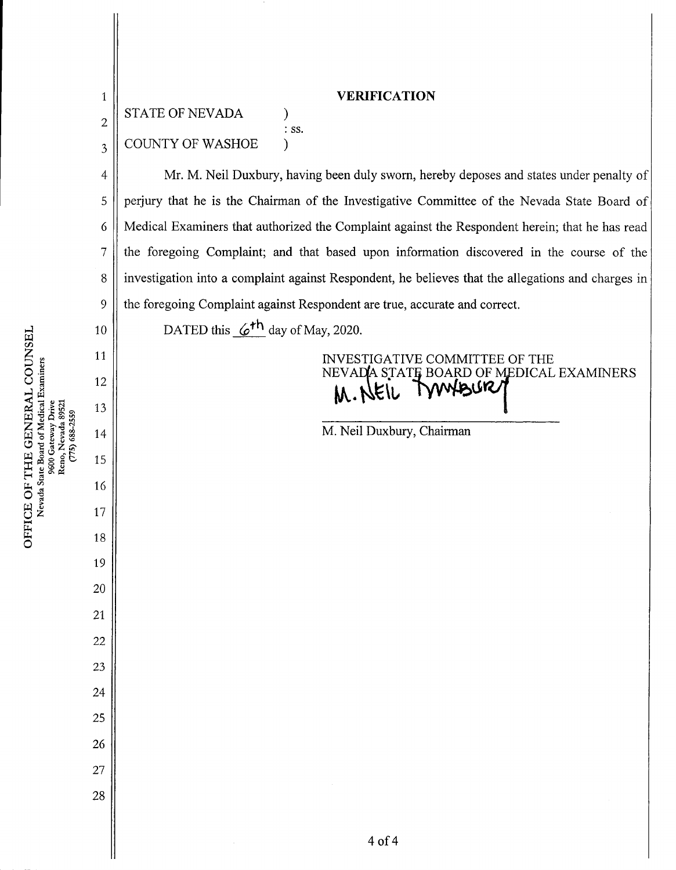| $\mathbf{1}$   | <b>VERIFICATION</b><br><b>STATE OF NEVADA</b>                                                      |
|----------------|----------------------------------------------------------------------------------------------------|
| $\overline{c}$ | $:$ SS.                                                                                            |
| $\overline{3}$ | <b>COUNTY OF WASHOE</b>                                                                            |
| $\overline{4}$ | Mr. M. Neil Duxbury, having been duly sworn, hereby deposes and states under penalty of            |
| 5              | perjury that he is the Chairman of the Investigative Committee of the Nevada State Board of        |
| 6              | Medical Examiners that authorized the Complaint against the Respondent herein; that he has read    |
| 7              | the foregoing Complaint; and that based upon information discovered in the course of the           |
| 8              | investigation into a complaint against Respondent, he believes that the allegations and charges in |
| 9              | the foregoing Complaint against Respondent are true, accurate and correct.                         |
| 10             | DATED this $6th$ day of May, 2020.                                                                 |
| 11             | INVESTIGATIVE COMMITTEE OF THE<br>NEVADA STATE BOARD OF MEDICAL EXAMINERS                          |
| 12             | <b>MNAISR/</b><br>M. NEIL T                                                                        |
| 13<br>14       | M. Neil Duxbury, Chairman                                                                          |
| 15             |                                                                                                    |
| 16             |                                                                                                    |
| 17             |                                                                                                    |
| 18             |                                                                                                    |
| 19             |                                                                                                    |
| 20             |                                                                                                    |
| 21             |                                                                                                    |
| 22             |                                                                                                    |
| 23             |                                                                                                    |
| 24             |                                                                                                    |
| 25             |                                                                                                    |
| 26             |                                                                                                    |
| 27             |                                                                                                    |
| 28             |                                                                                                    |
|                |                                                                                                    |
|                | 4 of 4                                                                                             |

E OF TI<br>Vevada State

DUNSE<br>iners

 $\frac{1}{2}$ 

101<br>12<br>12